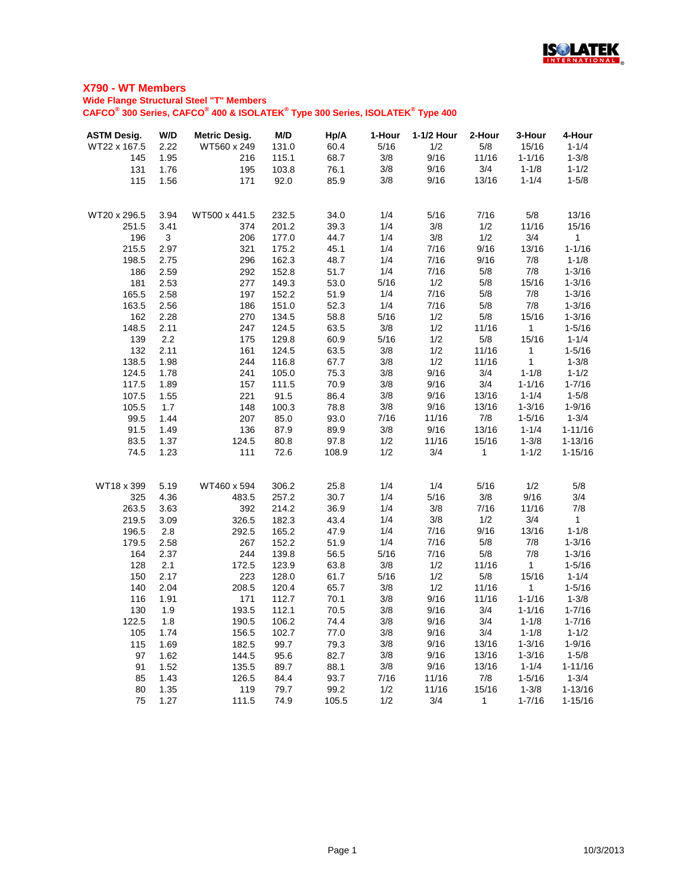

# **Wide Flange Structural Steel "T" Members**

**CAFCO® 300 Series, CAFCO® 400 & ISOLATEK® Type 300 Series, ISOLATEK® Type 400**

| <b>ASTM Desig.</b> | W/D  | <b>Metric Desig.</b> | M/D   | Hp/A  | 1-Hour | 1-1/2 Hour | 2-Hour       | 3-Hour       | 4-Hour       |
|--------------------|------|----------------------|-------|-------|--------|------------|--------------|--------------|--------------|
| WT22 x 167.5       | 2.22 | WT560 x 249          | 131.0 | 60.4  | 5/16   | 1/2        | 5/8          | 15/16        | $1 - 1/4$    |
| 145                | 1.95 | 216                  | 115.1 | 68.7  | 3/8    | 9/16       | 11/16        | $1 - 1/16$   | $1 - 3/8$    |
| 131                | 1.76 | 195                  | 103.8 | 76.1  | 3/8    | 9/16       | 3/4          | $1 - 1/8$    | $1 - 1/2$    |
| 115                | 1.56 | 171                  | 92.0  | 85.9  | 3/8    | 9/16       | 13/16        | $1 - 1/4$    | $1 - 5/8$    |
| WT20 x 296.5       | 3.94 | WT500 x 441.5        | 232.5 | 34.0  | 1/4    | 5/16       | 7/16         | 5/8          | 13/16        |
| 251.5              | 3.41 | 374                  | 201.2 | 39.3  | 1/4    | 3/8        | 1/2          | 11/16        | 15/16        |
| 196                | 3    | 206                  | 177.0 | 44.7  | 1/4    | 3/8        | 1/2          | 3/4          | $\mathbf{1}$ |
| 215.5              | 2.97 | 321                  | 175.2 | 45.1  | 1/4    | 7/16       | 9/16         | 13/16        | $1 - 1/16$   |
| 198.5              | 2.75 | 296                  | 162.3 | 48.7  | 1/4    | 7/16       | 9/16         | 7/8          | $1 - 1/8$    |
| 186                | 2.59 | 292                  | 152.8 | 51.7  | 1/4    | 7/16       | 5/8          | 7/8          | $1 - 3/16$   |
| 181                | 2.53 | 277                  | 149.3 | 53.0  | 5/16   | 1/2        | 5/8          | 15/16        | $1 - 3/16$   |
| 165.5              | 2.58 | 197                  | 152.2 | 51.9  | 1/4    | 7/16       | 5/8          | 7/8          | $1 - 3/16$   |
| 163.5              | 2.56 | 186                  | 151.0 | 52.3  | 1/4    | 7/16       | $5/8$        | 7/8          | $1 - 3/16$   |
| 162                | 2.28 | 270                  | 134.5 | 58.8  | 5/16   | 1/2        | 5/8          | 15/16        | $1 - 3/16$   |
| 148.5              | 2.11 | 247                  | 124.5 | 63.5  | 3/8    | 1/2        | 11/16        | $\mathbf{1}$ | $1 - 5/16$   |
| 139                | 2.2  | 175                  | 129.8 | 60.9  | 5/16   | 1/2        | 5/8          | 15/16        | $1 - 1/4$    |
| 132                | 2.11 | 161                  | 124.5 | 63.5  | 3/8    | 1/2        | 11/16        | $\mathbf 1$  | $1 - 5/16$   |
| 138.5              | 1.98 | 244                  | 116.8 | 67.7  | 3/8    | 1/2        | 11/16        | $\mathbf{1}$ | $1 - 3/8$    |
| 124.5              | 1.78 | 241                  | 105.0 | 75.3  | 3/8    | 9/16       | 3/4          | $1 - 1/8$    | $1 - 1/2$    |
| 117.5              | 1.89 | 157                  | 111.5 | 70.9  | 3/8    | 9/16       | 3/4          | $1 - 1/16$   | $1 - 7/16$   |
| 107.5              | 1.55 | 221                  | 91.5  | 86.4  | 3/8    | 9/16       | 13/16        | $1 - 1/4$    | $1 - 5/8$    |
| 105.5              | 1.7  | 148                  | 100.3 | 78.8  | 3/8    | 9/16       | 13/16        | $1 - 3/16$   | $1 - 9/16$   |
| 99.5               | 1.44 | 207                  | 85.0  | 93.0  | 7/16   | 11/16      | 7/8          | $1 - 5/16$   | $1 - 3/4$    |
| 91.5               | 1.49 | 136                  | 87.9  | 89.9  | 3/8    | 9/16       | 13/16        | $1 - 1/4$    | $1 - 11/16$  |
| 83.5               | 1.37 | 124.5                | 80.8  | 97.8  | 1/2    | 11/16      | 15/16        | $1 - 3/8$    | $1 - 13/16$  |
| 74.5               | 1.23 | 111                  | 72.6  | 108.9 | 1/2    | 3/4        | $\mathbf 1$  | $1 - 1/2$    | $1 - 15/16$  |
| WT18 x 399         | 5.19 | WT460 x 594          | 306.2 | 25.8  | 1/4    | 1/4        | 5/16         | 1/2          | 5/8          |
| 325                | 4.36 | 483.5                | 257.2 | 30.7  | 1/4    | 5/16       | 3/8          | 9/16         | 3/4          |
| 263.5              | 3.63 | 392                  | 214.2 | 36.9  | 1/4    | 3/8        | 7/16         | 11/16        | 7/8          |
| 219.5              | 3.09 | 326.5                | 182.3 | 43.4  | 1/4    | 3/8        | 1/2          | 3/4          | $\mathbf{1}$ |
| 196.5              | 2.8  | 292.5                | 165.2 | 47.9  | 1/4    | 7/16       | 9/16         | 13/16        | $1 - 1/8$    |
| 179.5              | 2.58 | 267                  | 152.2 | 51.9  | 1/4    | 7/16       | 5/8          | 7/8          | $1 - 3/16$   |
| 164                | 2.37 | 244                  | 139.8 | 56.5  | 5/16   | 7/16       | 5/8          | 7/8          | $1 - 3/16$   |
| 128                | 2.1  | 172.5                | 123.9 | 63.8  | 3/8    | 1/2        | 11/16        | 1            | $1 - 5/16$   |
| 150                | 2.17 | 223                  | 128.0 | 61.7  | 5/16   | 1/2        | 5/8          | 15/16        | $1 - 1/4$    |
| 140                | 2.04 | 208.5                | 120.4 | 65.7  | 3/8    | 1/2        | 11/16        | 1            | $1 - 5/16$   |
| 116                | 1.91 | 171                  | 112.7 | 70.1  | 3/8    | 9/16       | 11/16        | $1 - 1/16$   | $1 - 3/8$    |
| 130                | 1.9  | 193.5                | 112.1 | 70.5  | 3/8    | 9/16       | 3/4          | $1 - 1/16$   | $1 - 7/16$   |
| 122.5              | 1.8  | 190.5                | 106.2 | 74.4  | 3/8    | 9/16       | 3/4          | $1 - 1/8$    | $1 - 7/16$   |
| 105                | 1.74 | 156.5                | 102.7 | 77.0  | 3/8    | 9/16       | 3/4          | $1 - 1/8$    | $1 - 1/2$    |
| 115                | 1.69 | 182.5                | 99.7  | 79.3  | 3/8    | 9/16       | 13/16        | $1 - 3/16$   | $1 - 9/16$   |
| 97                 | 1.62 | 144.5                | 95.6  | 82.7  | 3/8    | 9/16       | 13/16        | $1 - 3/16$   | $1 - 5/8$    |
| 91                 | 1.52 | 135.5                | 89.7  | 88.1  | 3/8    | 9/16       | 13/16        | $1 - 1/4$    | $1 - 11/16$  |
| 85                 | 1.43 | 126.5                | 84.4  | 93.7  | 7/16   | 11/16      | 7/8          | $1 - 5/16$   | $1 - 3/4$    |
| 80                 | 1.35 | 119                  | 79.7  | 99.2  | 1/2    | 11/16      | 15/16        | $1 - 3/8$    | $1 - 13/16$  |
| 75                 | 1.27 | 111.5                | 74.9  | 105.5 | 1/2    | 3/4        | $\mathbf{1}$ | $1 - 7/16$   | $1 - 15/16$  |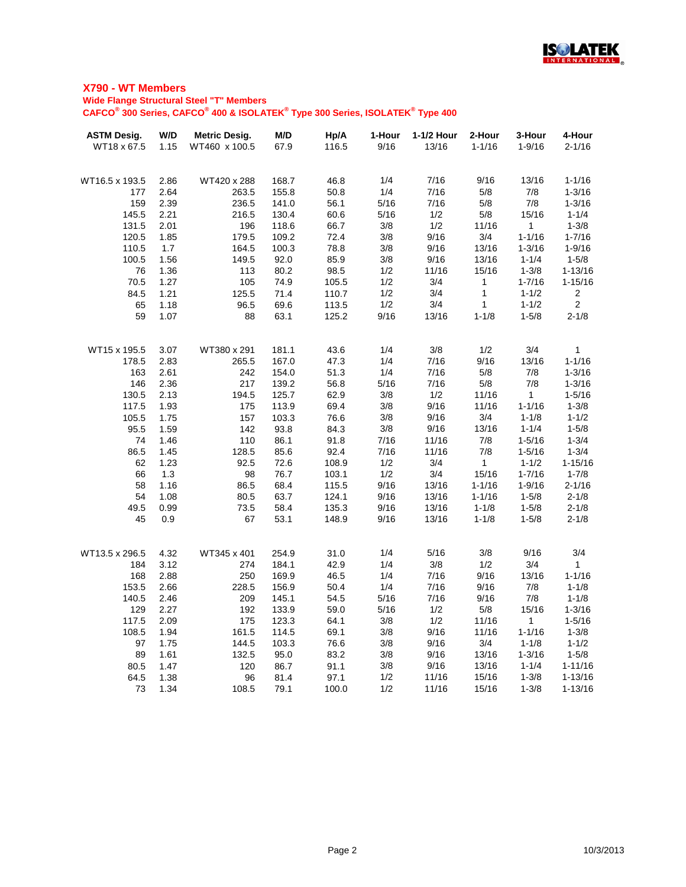

#### **Wide Flange Structural Steel "T" Members**

**CAFCO® 300 Series, CAFCO® 400 & ISOLATEK® Type 300 Series, ISOLATEK® Type 400**

| <b>ASTM Desig.</b> | W/D          | <b>Metric Desig.</b> | M/D            | Hp/A         | 1-Hour      | 1-1/2 Hour | 2-Hour         | 3-Hour          | 4-Hour                   |
|--------------------|--------------|----------------------|----------------|--------------|-------------|------------|----------------|-----------------|--------------------------|
| WT18 x 67.5        | 1.15         | WT460 x 100.5        | 67.9           | 116.5        | 9/16        | 13/16      | $1 - 1/16$     | $1 - 9/16$      | $2 - 1/16$               |
|                    |              |                      |                |              |             |            |                |                 |                          |
| WT16.5 x 193.5     | 2.86         | WT420 x 288          | 168.7          | 46.8         | 1/4         | 7/16       | 9/16           | 13/16           | $1 - 1/16$               |
| 177                | 2.64         | 263.5                | 155.8          | 50.8         | 1/4         | 7/16       | 5/8            | 7/8             | $1 - 3/16$               |
| 159                | 2.39         | 236.5                | 141.0          | 56.1         | 5/16        | 7/16       | 5/8            | 7/8             | $1 - 3/16$               |
| 145.5              | 2.21         | 216.5                | 130.4          | 60.6         | 5/16        | 1/2        | 5/8            | 15/16           | $1 - 1/4$                |
| 131.5              | 2.01         | 196                  | 118.6          | 66.7         | 3/8         | 1/2        | 11/16          | $\mathbf{1}$    | $1 - 3/8$                |
| 120.5              | 1.85         | 179.5                | 109.2          | 72.4         | 3/8         | 9/16       | 3/4            | $1 - 1/16$      | $1 - 7/16$               |
| 110.5              | 1.7          | 164.5                | 100.3          | 78.8         | 3/8         | 9/16       | 13/16          | $1 - 3/16$      | $1 - 9/16$               |
| 100.5              | 1.56         | 149.5                | 92.0           | 85.9         | 3/8         | 9/16       | 13/16          | $1 - 1/4$       | $1 - 5/8$                |
| 76                 | 1.36         | 113                  | 80.2           | 98.5         | 1/2         | 11/16      | 15/16          | $1 - 3/8$       | $1 - 13/16$              |
| 70.5               | 1.27         | 105                  | 74.9           | 105.5        | 1/2         | 3/4        | $\mathbf{1}$   | $1 - 7/16$      | $1 - 15/16$              |
| 84.5               | 1.21         | 125.5                | 71.4           | 110.7        | 1/2         | 3/4        | $\mathbf{1}$   | $1 - 1/2$       | $\overline{2}$           |
| 65                 | 1.18         | 96.5                 | 69.6           | 113.5        | 1/2         | 3/4        | 1              | $1 - 1/2$       | $\overline{2}$           |
| 59                 | 1.07         | 88                   | 63.1           | 125.2        | 9/16        | 13/16      | $1 - 1/8$      | $1 - 5/8$       | $2 - 1/8$                |
|                    |              |                      |                |              |             |            |                |                 |                          |
| WT15 x 195.5       | 3.07         | WT380 x 291          | 181.1          | 43.6         | 1/4         | 3/8        | 1/2            | 3/4             | 1                        |
| 178.5              | 2.83         | 265.5                | 167.0          | 47.3         | 1/4         | 7/16       | 9/16           | 13/16           | $1 - 1/16$               |
| 163                | 2.61         | 242                  | 154.0          | 51.3         | 1/4         | 7/16       | 5/8            | 7/8             | $1 - 3/16$               |
| 146                | 2.36         | 217                  | 139.2          | 56.8         | 5/16        | 7/16       | 5/8            | 7/8             | $1 - 3/16$               |
| 130.5              | 2.13         | 194.5                | 125.7          | 62.9         | 3/8         | 1/2        | 11/16          | $\mathbf{1}$    | $1 - 5/16$               |
| 117.5              | 1.93         | 175                  | 113.9          | 69.4         | 3/8         | 9/16       | 11/16          | $1 - 1/16$      | $1 - 3/8$                |
| 105.5              | 1.75         | 157                  | 103.3          | 76.6         | 3/8         | 9/16       | 3/4            | $1 - 1/8$       | $1 - 1/2$                |
| 95.5               | 1.59         | 142                  | 93.8           | 84.3         | 3/8         | 9/16       | 13/16          | $1 - 1/4$       | $1 - 5/8$                |
| 74                 | 1.46         | 110                  | 86.1           | 91.8         | 7/16        | 11/16      | 7/8            | $1 - 5/16$      | $1 - 3/4$                |
| 86.5               | 1.45         | 128.5                | 85.6           | 92.4         | 7/16        | 11/16      | 7/8            | $1 - 5/16$      | $1 - 3/4$                |
| 62                 | 1.23         | 92.5                 | 72.6           | 108.9        | 1/2         | 3/4        | $\mathbf{1}$   | $1 - 1/2$       | $1 - 15/16$              |
| 66                 | 1.3          | 98                   | 76.7           | 103.1        | 1/2         | 3/4        | 15/16          | $1 - 7/16$      | $1 - 7/8$                |
| 58                 | 1.16         | 86.5                 | 68.4           | 115.5        | 9/16        | 13/16      | $1 - 1/16$     | $1 - 9/16$      | $2 - 1/16$               |
| 54                 | 1.08         | 80.5                 | 63.7           | 124.1        | 9/16        | 13/16      | $1 - 1/16$     | $1 - 5/8$       | $2 - 1/8$                |
| 49.5               | 0.99         | 73.5                 | 58.4           | 135.3        | 9/16        | 13/16      | $1 - 1/8$      | $1 - 5/8$       | $2 - 1/8$                |
| 45                 | 0.9          | 67                   | 53.1           | 148.9        | 9/16        | 13/16      | $1 - 1/8$      | $1 - 5/8$       | $2 - 1/8$                |
| WT13.5 x 296.5     | 4.32         | WT345 x 401          | 254.9          | 31.0         | 1/4         | 5/16       | 3/8            | 9/16            | 3/4                      |
| 184                | 3.12         | 274                  | 184.1          | 42.9         | 1/4         | 3/8        | 1/2            | 3/4             | 1                        |
| 168                | 2.88         | 250                  | 169.9          | 46.5         | 1/4         | 7/16       | 9/16           | 13/16           | $1 - 1/16$               |
| 153.5              | 2.66         | 228.5                | 156.9          |              | 1/4         | 7/16       | 9/16           | 7/8             | $1 - 1/8$                |
| 140.5              |              | 209                  |                | 50.4         | 5/16        | 7/16       | 9/16           | 7/8             | $1 - 1/8$                |
|                    | 2.46         |                      | 145.1          | 54.5         |             |            |                |                 |                          |
| 129<br>117.5       | 2.27<br>2.09 | 192<br>175           | 133.9<br>123.3 | 59.0<br>64.1 | 5/16<br>3/8 | 1/2<br>1/2 | $5/8$<br>11/16 | 15/16           | $1 - 3/16$<br>$1 - 5/16$ |
|                    |              |                      |                |              |             | 9/16       |                | 1<br>$1 - 1/16$ | $1 - 3/8$                |
| 108.5              | 1.94         | 161.5                | 114.5          | 69.1         | 3/8         |            | 11/16          |                 |                          |
| 97                 | 1.75         | 144.5                | 103.3          | 76.6         | 3/8         | 9/16       | 3/4            | $1 - 1/8$       | $1 - 1/2$                |
| 89                 | 1.61         | 132.5                | 95.0           | 83.2         | 3/8         | 9/16       | 13/16          | $1 - 3/16$      | $1 - 5/8$                |
| 80.5               | 1.47         | 120                  | 86.7           | 91.1         | 3/8         | 9/16       | 13/16          | $1 - 1/4$       | $1 - 11/16$              |
| 64.5               | 1.38         | 96                   | 81.4           | 97.1         | 1/2         | 11/16      | 15/16          | $1 - 3/8$       | $1 - 13/16$              |
| 73                 | 1.34         | 108.5                | 79.1           | 100.0        | 1/2         | 11/16      | 15/16          | $1 - 3/8$       | $1 - 13/16$              |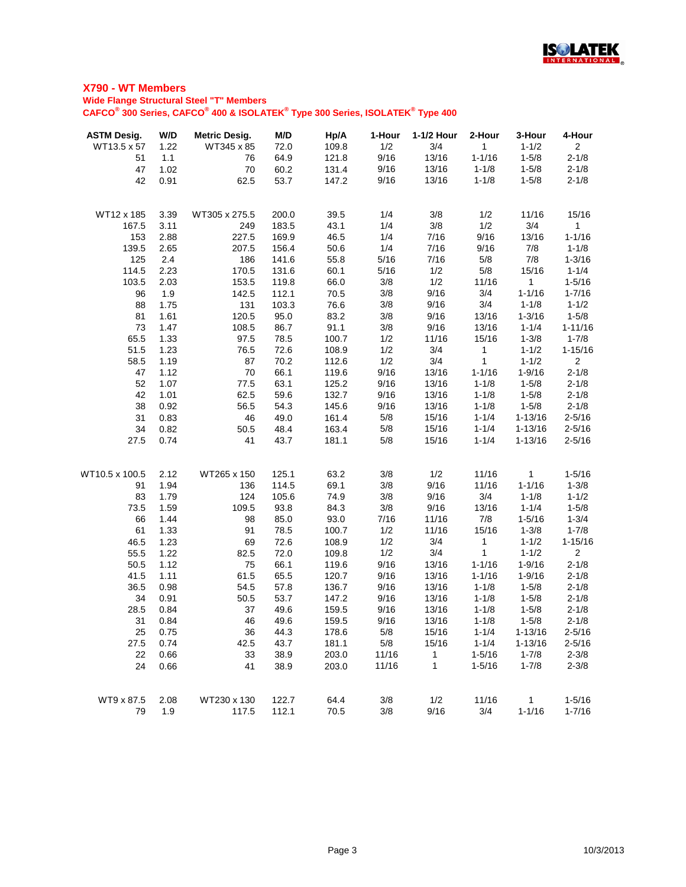

| <b>ASTM Desig.</b> | W/D          | <b>Metric Desig.</b> | M/D            | Hp/A         | 1-Hour     | 1-1/2 Hour   | 2-Hour       | 3-Hour                  | 4-Hour                 |
|--------------------|--------------|----------------------|----------------|--------------|------------|--------------|--------------|-------------------------|------------------------|
| WT13.5 x 57        | 1.22         | WT345 x 85           | 72.0           | 109.8        | 1/2        | 3/4          | $\mathbf{1}$ | $1 - 1/2$               | $\overline{2}$         |
| 51                 | 1.1          | 76                   | 64.9           | 121.8        | 9/16       | 13/16        | $1 - 1/16$   | $1 - 5/8$               | $2 - 1/8$              |
| 47                 | 1.02         | 70                   | 60.2           | 131.4        | 9/16       | 13/16        | $1 - 1/8$    | $1 - 5/8$               | $2 - 1/8$              |
| 42                 | 0.91         | 62.5                 | 53.7           | 147.2        | 9/16       | 13/16        | $1 - 1/8$    | $1 - 5/8$               | $2 - 1/8$              |
|                    |              |                      |                |              |            |              |              |                         |                        |
| WT12 x 185         | 3.39         | WT305 x 275.5        | 200.0          | 39.5         | 1/4        | 3/8          | 1/2          | 11/16                   | 15/16                  |
| 167.5              | 3.11         | 249                  | 183.5          | 43.1         | 1/4        | 3/8          | 1/2          | 3/4                     | 1                      |
| 153                | 2.88         | 227.5                | 169.9          | 46.5         | 1/4        | 7/16         | 9/16         | 13/16                   | $1 - 1/16$             |
| 139.5              | 2.65         | 207.5                | 156.4          | 50.6         | 1/4        | 7/16         | 9/16         | 7/8                     | $1 - 1/8$              |
| 125                | 2.4          | 186                  | 141.6          | 55.8         | 5/16       | 7/16         | 5/8          | 7/8                     | $1 - 3/16$             |
| 114.5              | 2.23         | 170.5                | 131.6          | 60.1         | 5/16       | 1/2          | 5/8          | 15/16                   | $1 - 1/4$              |
| 103.5              | 2.03         | 153.5                | 119.8          | 66.0         | 3/8        | 1/2          | 11/16        | $\mathbf{1}$            | $1 - 5/16$             |
| 96                 | 1.9          | 142.5                | 112.1          | 70.5         | 3/8        | 9/16         | 3/4          | $1 - 1/16$              | $1 - 7/16$             |
| 88                 | 1.75         | 131                  | 103.3          | 76.6         | $3/8$      | 9/16         | 3/4          | $1 - 1/8$               | $1 - 1/2$              |
| 81                 | 1.61         | 120.5                | 95.0           | 83.2         | 3/8        | 9/16         | 13/16        | $1 - 3/16$              | $1 - 5/8$              |
| 73                 | 1.47         | 108.5                | 86.7           | 91.1         | 3/8        | 9/16         | 13/16        | $1 - 1/4$               | $1 - 11/16$            |
| 65.5               | 1.33         | 97.5                 | 78.5           | 100.7        | 1/2        | 11/16        | 15/16        | $1 - 3/8$               | $1 - 7/8$              |
| 51.5               | 1.23         | 76.5                 | 72.6           | 108.9        | 1/2        | 3/4          | $\mathbf{1}$ | $1 - 1/2$               | $1 - 15/16$            |
| 58.5               | 1.19         | 87                   | 70.2           | 112.6        | 1/2        | 3/4          | $\mathbf 1$  | $1 - 1/2$               | $\overline{2}$         |
| 47                 | 1.12         | 70                   | 66.1           | 119.6        | 9/16       | 13/16        | $1 - 1/16$   | $1 - 9/16$              | $2 - 1/8$              |
| 52                 | 1.07         | 77.5                 | 63.1           | 125.2        | 9/16       | 13/16        | $1 - 1/8$    | $1 - 5/8$               | $2 - 1/8$              |
| 42                 | 1.01         | 62.5                 | 59.6           | 132.7        | 9/16       | 13/16        | $1 - 1/8$    | $1 - 5/8$               | $2 - 1/8$              |
| 38                 | 0.92         | 56.5                 | 54.3           | 145.6        | 9/16       | 13/16        | $1 - 1/8$    | $1 - 5/8$               | $2 - 1/8$              |
| 31                 | 0.83         | 46                   | 49.0           | 161.4        | 5/8        | 15/16        | $1 - 1/4$    | $1 - 13/16$             | $2 - 5/16$             |
| 34                 | 0.82         | 50.5                 | 48.4           | 163.4        | 5/8        | 15/16        | $1 - 1/4$    | $1 - 13/16$             | $2 - 5/16$             |
| 27.5               | 0.74         | 41                   | 43.7           | 181.1        | 5/8        | 15/16        | $1 - 1/4$    | $1 - 13/16$             | $2 - 5/16$             |
|                    |              |                      |                |              |            |              |              |                         |                        |
| WT10.5 x 100.5     | 2.12         | WT265 x 150          | 125.1          | 63.2         | 3/8        | 1/2          | 11/16        | $\mathbf{1}$            | $1 - 5/16$             |
| 91<br>83           | 1.94<br>1.79 | 136<br>124           | 114.5<br>105.6 | 69.1<br>74.9 | 3/8<br>3/8 | 9/16<br>9/16 | 11/16<br>3/4 | $1 - 1/16$<br>$1 - 1/8$ | $1 - 3/8$<br>$1 - 1/2$ |
| 73.5               | 1.59         | 109.5                | 93.8           | 84.3         | 3/8        | 9/16         | 13/16        | $1 - 1/4$               | $1 - 5/8$              |
| 66                 | 1.44         | 98                   | 85.0           | 93.0         | 7/16       | 11/16        | 7/8          | $1 - 5/16$              | $1 - 3/4$              |
| 61                 | 1.33         | 91                   | 78.5           | 100.7        | 1/2        | 11/16        | 15/16        | $1 - 3/8$               | $1 - 7/8$              |
| 46.5               | 1.23         |                      | 72.6           | 108.9        | 1/2        | 3/4          | 1            | $1 - 1/2$               | $1 - 15/16$            |
| 55.5               | 1.22         | 69<br>82.5           | 72.0           | 109.8        | 1/2        | 3/4          | 1            | $1 - 1/2$               | $\overline{2}$         |
| 50.5               | 1.12         | 75                   | 66.1           | 119.6        | 9/16       | 13/16        | $1 - 1/16$   | $1 - 9/16$              | $2 - 1/8$              |
| 41.5               | 1.11         | 61.5                 | 65.5           | 120.7        | 9/16       | 13/16        | $1 - 1/16$   | $1 - 9/16$              | $2 - 1/8$              |
| 36.5               | 0.98         | 54.5                 | 57.8           | 136.7        | 9/16       | 13/16        | $1 - 1/8$    | $1 - 5/8$               | $2 - 1/8$              |
| 34                 | 0.91         | 50.5                 | 53.7           | 147.2        | 9/16       | 13/16        | $1 - 1/8$    | $1 - 5/8$               | $2 - 1/8$              |
| 28.5               | 0.84         | 37                   | 49.6           | 159.5        | 9/16       | 13/16        | $1 - 1/8$    | $1 - 5/8$               | $2 - 1/8$              |
| 31                 | 0.84         | 46                   | 49.6           | 159.5        | 9/16       | 13/16        | $1 - 1/8$    | $1 - 5/8$               | $2 - 1/8$              |
| 25                 | 0.75         | 36                   | 44.3           | 178.6        | 5/8        | 15/16        | $1 - 1/4$    | $1 - 13/16$             | $2 - 5/16$             |
| 27.5               | 0.74         | 42.5                 | 43.7           | 181.1        | 5/8        | 15/16        | $1 - 1/4$    | $1 - 13/16$             | $2 - 5/16$             |
| 22                 | 0.66         | 33                   | 38.9           | 203.0        | 11/16      | 1            | $1 - 5/16$   | $1 - 7/8$               | $2 - 3/8$              |
| 24                 | 0.66         | 41                   | 38.9           | 203.0        | 11/16      | 1            | $1 - 5/16$   | $1 - 7/8$               | $2 - 3/8$              |
|                    |              |                      |                |              |            |              |              |                         |                        |
| WT9 x 87.5         | 2.08         | WT230 x 130          | 122.7          | 64.4         | 3/8        | 1/2          | 11/16        | 1                       | $1 - 5/16$             |
| 79                 | 1.9          | 117.5                | 112.1          | 70.5         | 3/8        | 9/16         | 3/4          | $1 - 1/16$              | $1 - 7/16$             |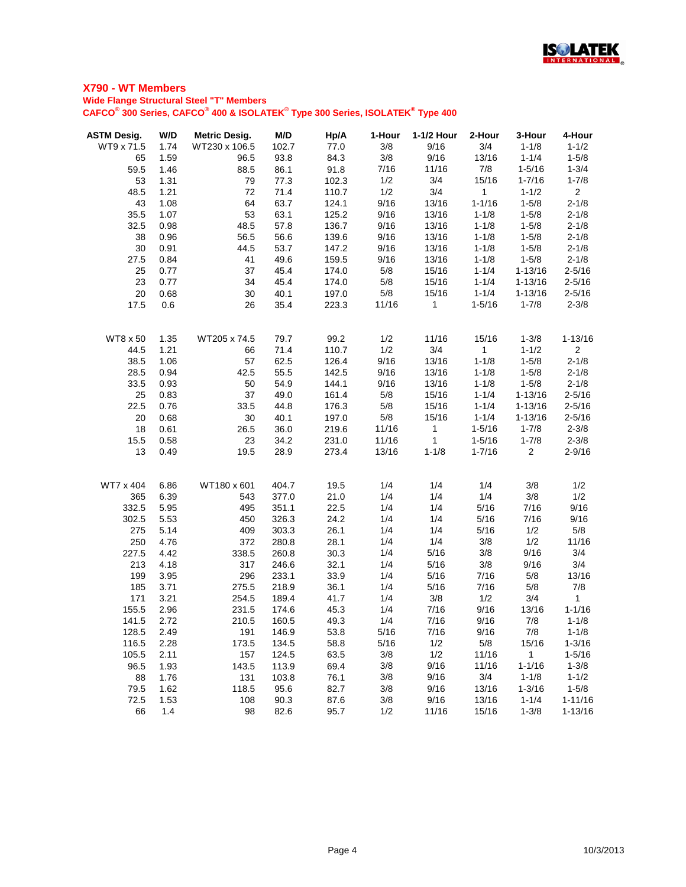

| <b>ASTM Desig.</b> | W/D          | <b>Metric Desig.</b> | M/D          | Hp/A           | 1-Hour       | 1-1/2 Hour     | 2-Hour                 | 3-Hour                 | 4-Hour                 |
|--------------------|--------------|----------------------|--------------|----------------|--------------|----------------|------------------------|------------------------|------------------------|
| WT9 x 71.5         | 1.74         | WT230 x 106.5        | 102.7        | 77.0           | 3/8          | 9/16           | 3/4                    | $1 - 1/8$              | $1 - 1/2$              |
| 65                 | 1.59         | 96.5                 | 93.8         | 84.3           | 3/8          | 9/16           | 13/16                  | $1 - 1/4$              | $1 - 5/8$              |
| 59.5               | 1.46         | 88.5                 | 86.1         | 91.8           | 7/16         | 11/16          | 7/8                    | $1 - 5/16$             | $1 - 3/4$              |
| 53                 | 1.31         | 79                   | 77.3         | 102.3          | 1/2          | 3/4            | 15/16                  | $1 - 7/16$             | $1 - 7/8$              |
| 48.5               | 1.21         | 72                   | 71.4         | 110.7          | 1/2          | 3/4            | $\mathbf{1}$           | $1 - 1/2$              | $\overline{2}$         |
| 43                 | 1.08         | 64                   | 63.7         | 124.1          | 9/16         | 13/16          | $1 - 1/16$             | $1 - 5/8$              | $2 - 1/8$              |
| 35.5               | 1.07         | 53                   | 63.1         | 125.2          | 9/16         | 13/16          | $1 - 1/8$              | $1 - 5/8$              | $2 - 1/8$              |
| 32.5<br>38         | 0.98         | 48.5                 | 57.8         | 136.7          | 9/16         | 13/16          | $1 - 1/8$              | $1 - 5/8$              | $2 - 1/8$              |
| 30                 | 0.96<br>0.91 | 56.5<br>44.5         | 56.6<br>53.7 | 139.6<br>147.2 | 9/16<br>9/16 | 13/16<br>13/16 | $1 - 1/8$<br>$1 - 1/8$ | $1 - 5/8$<br>$1 - 5/8$ | $2 - 1/8$<br>$2 - 1/8$ |
| 27.5               | 0.84         | 41                   | 49.6         | 159.5          | 9/16         | 13/16          | $1 - 1/8$              | $1 - 5/8$              | $2 - 1/8$              |
| 25                 | 0.77         | 37                   | 45.4         | 174.0          | 5/8          | 15/16          | $1 - 1/4$              | $1 - 13/16$            | $2 - 5/16$             |
| 23                 | 0.77         | 34                   | 45.4         | 174.0          | 5/8          | 15/16          | $1 - 1/4$              | $1 - 13/16$            | $2 - 5/16$             |
| 20                 | 0.68         | 30                   | 40.1         | 197.0          | $5/8$        | 15/16          | $1 - 1/4$              | $1 - 13/16$            | $2 - 5/16$             |
| 17.5               | 0.6          | 26                   | 35.4         | 223.3          | 11/16        | $\mathbf{1}$   | $1 - 5/16$             | $1 - 7/8$              | $2 - 3/8$              |
|                    |              |                      |              |                |              |                |                        |                        |                        |
| <b>WT8 x 50</b>    | 1.35         | WT205 x 74.5         | 79.7         | 99.2           | 1/2          | 11/16          | 15/16                  | $1 - 3/8$              | $1 - 13/16$            |
| 44.5               | 1.21         | 66                   | 71.4         | 110.7          | 1/2          | 3/4            | 1                      | $1 - 1/2$              | $\overline{2}$         |
| 38.5               | 1.06         | 57                   | 62.5         | 126.4          | 9/16         | 13/16          | $1 - 1/8$              | $1 - 5/8$              | $2 - 1/8$              |
| 28.5               | 0.94         | 42.5                 | 55.5         | 142.5          | 9/16         | 13/16          | $1 - 1/8$              | $1 - 5/8$              | $2 - 1/8$              |
| 33.5               | 0.93         | 50                   | 54.9         | 144.1          | 9/16         | 13/16          | $1 - 1/8$              | $1 - 5/8$              | $2 - 1/8$              |
| 25                 | 0.83         | 37                   | 49.0         | 161.4          | 5/8          | 15/16          | $1 - 1/4$              | $1 - 13/16$            | $2 - 5/16$             |
| 22.5               | 0.76         | 33.5                 | 44.8         | 176.3          | 5/8          | 15/16          | $1 - 1/4$              | $1 - 13/16$            | $2 - 5/16$             |
| 20                 | 0.68         | 30                   | 40.1         | 197.0          | 5/8          | 15/16          | $1 - 1/4$              | $1 - 13/16$            | $2 - 5/16$             |
| 18                 | 0.61         | 26.5                 | 36.0         | 219.6          | 11/16        | $\mathbf{1}$   | $1 - 5/16$             | $1 - 7/8$              | $2 - 3/8$              |
| 15.5               | 0.58         | 23                   | 34.2         | 231.0          | 11/16        | $\mathbf{1}$   | $1 - 5/16$             | $1 - 7/8$              | $2 - 3/8$              |
| 13                 | 0.49         | 19.5                 | 28.9         | 273.4          | 13/16        | $1 - 1/8$      | $1 - 7/16$             | $\overline{2}$         | $2 - 9/16$             |
| WT7 x 404          | 6.86         | WT180 x 601          | 404.7        | 19.5           | 1/4          | 1/4            | 1/4                    | 3/8                    | 1/2                    |
| 365                | 6.39         | 543                  | 377.0        | 21.0           | 1/4          | 1/4            | 1/4                    | 3/8                    | 1/2                    |
| 332.5              | 5.95         | 495                  | 351.1        | 22.5           | 1/4          | 1/4            | 5/16                   | 7/16                   | 9/16                   |
| 302.5              | 5.53         | 450                  | 326.3        | 24.2           | 1/4          | 1/4            | 5/16                   | 7/16                   | 9/16                   |
| 275                | 5.14         | 409                  | 303.3        | 26.1           | 1/4          | 1/4            | 5/16                   | 1/2                    | 5/8                    |
| 250                | 4.76         | 372                  | 280.8        | 28.1           | 1/4          | 1/4            | 3/8                    | 1/2                    | 11/16                  |
| 227.5              | 4.42         | 338.5                | 260.8        | 30.3           | 1/4          | 5/16           | 3/8                    | 9/16                   | 3/4                    |
| 213                | 4.18         | 317                  | 246.6        | 32.1           | 1/4          | 5/16           | 3/8                    | 9/16                   | 3/4                    |
| 199                | 3.95         | 296                  | 233.1        | 33.9           | 1/4          | 5/16           | 7/16                   | 5/8                    | 13/16                  |
| 185                | 3.71         | 275.5                | 218.9        | 36.1           | 1/4          | 5/16           | 7/16                   | 5/8                    | 7/8                    |
| 171                | 3.21         | 254.5                | 189.4        | 41.7           | 1/4          | 3/8            | 1/2                    | 3/4                    | $\overline{1}$         |
| 155.5              | 2.96         | 231.5                | 174.6        | 45.3           | 1/4          | 7/16           | 9/16                   | 13/16                  | $1 - 1/16$             |
| 141.5              | 2.72         | 210.5                | 160.5        | 49.3           | 1/4          | 7/16           | 9/16                   | 7/8                    | $1 - 1/8$              |
| 128.5              | 2.49         | 191                  | 146.9        | 53.8           | 5/16         | 7/16           | 9/16                   | 7/8                    | $1 - 1/8$              |
| 116.5              | 2.28         | 173.5                | 134.5        | 58.8           | 5/16         | 1/2            | 5/8                    | 15/16                  | $1 - 3/16$             |
| 105.5              | 2.11         | 157                  | 124.5        | 63.5           | 3/8          | 1/2            | 11/16                  | $\mathbf{1}$           | $1 - 5/16$             |
| 96.5               | 1.93         | 143.5                | 113.9        | 69.4           | 3/8          | 9/16           | 11/16                  | $1 - 1/16$             | $1 - 3/8$              |
| 88                 | 1.76         | 131                  | 103.8        | 76.1           | 3/8          | 9/16           | 3/4                    | $1 - 1/8$              | $1 - 1/2$              |
| 79.5               | 1.62         | 118.5                | 95.6         | 82.7           | 3/8          | 9/16           | 13/16                  | $1 - 3/16$             | $1 - 5/8$              |
| 72.5               | 1.53         | 108                  | 90.3         | 87.6           | 3/8          | 9/16           | 13/16                  | $1 - 1/4$              | $1 - 11/16$            |
| 66                 | 1.4          | 98                   | 82.6         | 95.7           | 1/2          | 11/16          | 15/16                  | $1 - 3/8$              | $1 - 13/16$            |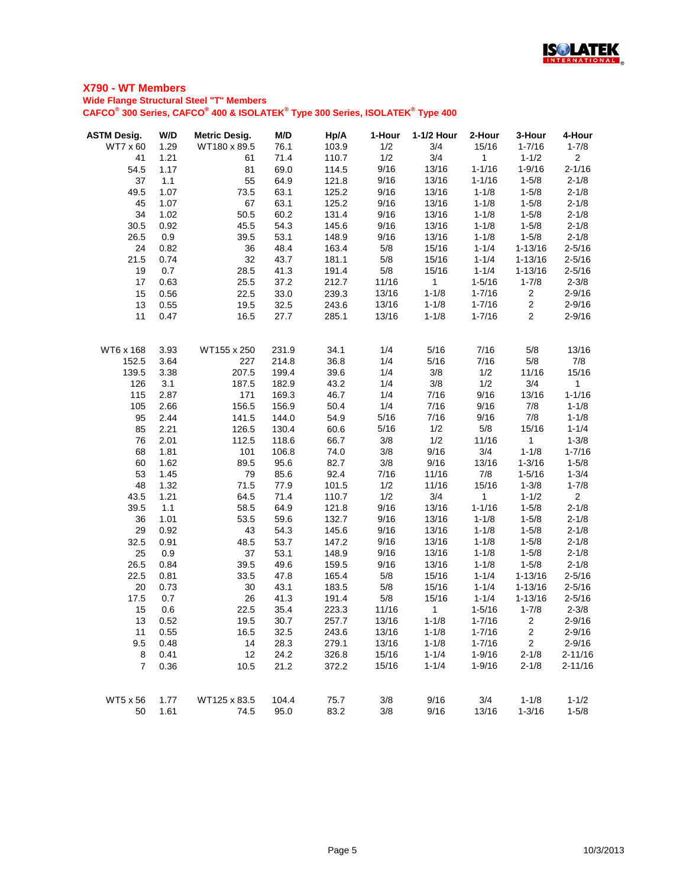

| <b>ASTM Desig.</b> | W/D  | <b>Metric Desig.</b> | M/D   | Hp/A  | 1-Hour | 1-1/2 Hour     | 2-Hour       | 3-Hour         | 4-Hour         |
|--------------------|------|----------------------|-------|-------|--------|----------------|--------------|----------------|----------------|
| WT7 x 60           | 1.29 | WT180 x 89.5         | 76.1  | 103.9 | 1/2    | 3/4            | 15/16        | $1 - 7/16$     | $1 - 7/8$      |
| 41                 | 1.21 | 61                   | 71.4  | 110.7 | 1/2    | 3/4            | $\mathbf{1}$ | $1 - 1/2$      | 2 <sup>7</sup> |
| 54.5               | 1.17 | 81                   | 69.0  | 114.5 | 9/16   | 13/16          | $1 - 1/16$   | $1 - 9/16$     | $2 - 1/16$     |
| 37                 | 1.1  | 55                   | 64.9  | 121.8 | 9/16   | 13/16          | $1 - 1/16$   | $1 - 5/8$      | $2 - 1/8$      |
| 49.5               | 1.07 | 73.5                 | 63.1  | 125.2 | 9/16   | 13/16          | $1 - 1/8$    | $1 - 5/8$      | $2 - 1/8$      |
| 45                 | 1.07 | 67                   | 63.1  | 125.2 | 9/16   | 13/16          | $1 - 1/8$    | $1 - 5/8$      | $2 - 1/8$      |
| 34                 | 1.02 | 50.5                 | 60.2  | 131.4 | 9/16   | 13/16          | $1 - 1/8$    | $1 - 5/8$      | $2 - 1/8$      |
| 30.5               | 0.92 | 45.5                 | 54.3  | 145.6 | 9/16   | 13/16          | $1 - 1/8$    | $1 - 5/8$      | $2 - 1/8$      |
| 26.5               | 0.9  | 39.5                 | 53.1  | 148.9 | 9/16   | 13/16          | $1 - 1/8$    | $1 - 5/8$      | $2 - 1/8$      |
| 24                 | 0.82 | 36                   | 48.4  | 163.4 | 5/8    | 15/16          | $1 - 1/4$    | $1 - 13/16$    | $2 - 5/16$     |
| 21.5               | 0.74 | 32                   | 43.7  | 181.1 | 5/8    | 15/16          | $1 - 1/4$    | $1 - 13/16$    | $2 - 5/16$     |
| 19                 | 0.7  | 28.5                 | 41.3  | 191.4 | 5/8    | 15/16          | $1 - 1/4$    | $1 - 13/16$    | $2 - 5/16$     |
| 17                 | 0.63 | 25.5                 | 37.2  | 212.7 | 11/16  | $\mathbf{1}$   | $1 - 5/16$   | $1 - 7/8$      | $2 - 3/8$      |
| 15                 | 0.56 | 22.5                 | 33.0  | 239.3 | 13/16  | $1 - 1/8$      | $1 - 7/16$   | $\overline{c}$ | $2 - 9/16$     |
| 13                 | 0.55 | 19.5                 | 32.5  | 243.6 | 13/16  | $1 - 1/8$      | $1 - 7/16$   | $\overline{2}$ | $2 - 9/16$     |
| 11                 | 0.47 | 16.5                 | 27.7  | 285.1 | 13/16  | $1 - 1/8$      | $1 - 7/16$   | $\overline{2}$ | $2 - 9/16$     |
| WT6 x 168          | 3.93 | WT155 x 250          | 231.9 | 34.1  | 1/4    | 5/16           | 7/16         | 5/8            | 13/16          |
| 152.5              | 3.64 | 227                  | 214.8 | 36.8  | 1/4    | 5/16           | 7/16         | 5/8            | 7/8            |
| 139.5              | 3.38 | 207.5                | 199.4 | 39.6  | 1/4    | 3/8            | 1/2          | 11/16          | 15/16          |
| 126                | 3.1  | 187.5                | 182.9 | 43.2  | 1/4    | 3/8            | 1/2          | 3/4            | $\mathbf{1}$   |
| 115                | 2.87 | 171                  | 169.3 | 46.7  | 1/4    | 7/16           | 9/16         | 13/16          | $1 - 1/16$     |
| 105                | 2.66 | 156.5                | 156.9 | 50.4  | 1/4    | 7/16           | 9/16         | 7/8            | $1 - 1/8$      |
| 95                 | 2.44 | 141.5                | 144.0 | 54.9  | 5/16   | 7/16           | 9/16         | 7/8            | $1 - 1/8$      |
| 85                 | 2.21 | 126.5                | 130.4 | 60.6  | 5/16   | 1/2            | 5/8          | 15/16          | $1 - 1/4$      |
| 76                 | 2.01 | 112.5                | 118.6 | 66.7  | 3/8    | 1/2            | 11/16        | $\mathbf{1}$   | $1 - 3/8$      |
| 68                 | 1.81 | 101                  | 106.8 | 74.0  | 3/8    | 9/16           | 3/4          | $1 - 1/8$      | $1 - 7/16$     |
| 60                 | 1.62 | 89.5                 | 95.6  | 82.7  | 3/8    | 9/16           | 13/16        | $1 - 3/16$     | $1 - 5/8$      |
| 53                 | 1.45 | 79                   | 85.6  | 92.4  | 7/16   | 11/16          | 7/8          | $1 - 5/16$     | $1 - 3/4$      |
| 48                 | 1.32 | 71.5                 | 77.9  | 101.5 | 1/2    | 11/16          | 15/16        | $1 - 3/8$      | $1 - 7/8$      |
| 43.5               | 1.21 | 64.5                 | 71.4  | 110.7 | 1/2    | 3/4            | $\mathbf{1}$ | $1 - 1/2$      | $2^{\circ}$    |
| 39.5               | 1.1  | 58.5                 | 64.9  | 121.8 | 9/16   | 13/16          | $1 - 1/16$   | $1 - 5/8$      | $2 - 1/8$      |
| 36                 | 1.01 | 53.5                 | 59.6  | 132.7 | 9/16   | 13/16          | $1 - 1/8$    | $1 - 5/8$      | $2 - 1/8$      |
| 29                 | 0.92 | 43                   | 54.3  | 145.6 | 9/16   | 13/16          | $1 - 1/8$    | $1 - 5/8$      | $2 - 1/8$      |
| 32.5               | 0.91 | 48.5                 | 53.7  | 147.2 | 9/16   | 13/16          | $1 - 1/8$    | $1 - 5/8$      | $2 - 1/8$      |
| 25                 | 0.9  | 37                   | 53.1  | 148.9 | 9/16   | 13/16          | $1 - 1/8$    | $1 - 5/8$      | $2 - 1/8$      |
| 26.5               | 0.84 | 39.5                 | 49.6  | 159.5 | 9/16   | 13/16          | $1 - 1/8$    | $1 - 5/8$      | $2 - 1/8$      |
| 22.5               | 0.81 | 33.5                 | 47.8  | 165.4 | 5/8    | 15/16          | $1 - 1/4$    | $1 - 13/16$    | $2 - 5/16$     |
| 20                 | 0.73 | 30                   | 43.1  | 183.5 | 5/8    | 15/16          | $1 - 1/4$    | $1 - 13/16$    | $2 - 5/16$     |
| 17.5               | 0.7  | 26                   | 41.3  | 191.4 | 5/8    | 15/16          | $1 - 1/4$    | $1 - 13/16$    | $2 - 5/16$     |
| 15                 | 0.6  | 22.5                 | 35.4  | 223.3 | 11/16  | $\overline{1}$ | $1 - 5/16$   | $1 - 7/8$      | $2 - 3/8$      |
| 13                 | 0.52 | 19.5                 | 30.7  | 257.7 | 13/16  | $1 - 1/8$      | $1 - 7/16$   | $\overline{2}$ | $2 - 9/16$     |
| 11                 | 0.55 | 16.5                 | 32.5  | 243.6 | 13/16  | $1 - 1/8$      | $1 - 7/16$   | $\overline{2}$ | $2 - 9/16$     |
| 9.5                | 0.48 | 14                   | 28.3  | 279.1 | 13/16  | $1 - 1/8$      | $1 - 7/16$   | $\overline{2}$ | $2 - 9/16$     |
| 8                  | 0.41 | 12                   | 24.2  | 326.8 | 15/16  | $1 - 1/4$      | $1 - 9/16$   | $2 - 1/8$      | $2 - 11/16$    |
| $\overline{7}$     | 0.36 | 10.5                 | 21.2  | 372.2 | 15/16  | $1 - 1/4$      | $1 - 9/16$   | $2 - 1/8$      | $2 - 11/16$    |
| WT5 x 56           | 1.77 | WT125 x 83.5         | 104.4 | 75.7  | 3/8    | 9/16           | 3/4          | $1 - 1/8$      | $1 - 1/2$      |
| 50                 | 1.61 | 74.5                 | 95.0  | 83.2  | 3/8    | 9/16           | 13/16        | $1 - 3/16$     | $1 - 5/8$      |
|                    |      |                      |       |       |        |                |              |                |                |